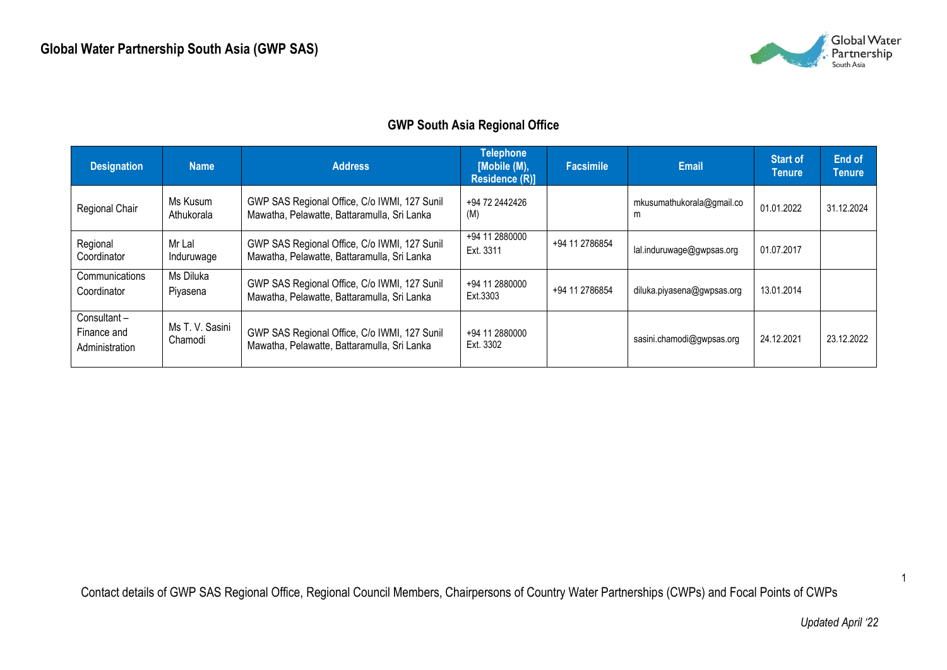

## **GWP South Asia Regional Office**

| <b>Designation</b>                           | <b>Name</b>                | <b>Address</b>                                                                              | <b>Telephone</b><br>[Mobile (M),<br><b>Residence (R)]</b> | <b>Facsimile</b> | <b>Email</b>                   | <b>Start of</b><br><b>Tenure</b> | End of<br><b>Tenure</b> |
|----------------------------------------------|----------------------------|---------------------------------------------------------------------------------------------|-----------------------------------------------------------|------------------|--------------------------------|----------------------------------|-------------------------|
| Regional Chair                               | Ms Kusum<br>Athukorala     | GWP SAS Regional Office, C/o IWMI, 127 Sunil<br>Mawatha, Pelawatte, Battaramulla, Sri Lanka | +94 72 2442426<br>(M)                                     |                  | mkusumathukorala@gmail.co<br>m | 01.01.2022                       | 31.12.2024              |
| Regional<br>Coordinator                      | Mr Lal<br>Induruwage       | GWP SAS Regional Office, C/o IWMI, 127 Sunil<br>Mawatha, Pelawatte, Battaramulla, Sri Lanka | +94 11 2880000<br>Ext. 3311                               | +94 11 2786854   | lal.induruwage@gwpsas.org      | 01.07.2017                       |                         |
| Communications<br>Coordinator                | Ms Diluka<br>Piyasena      | GWP SAS Regional Office, C/o IWMI, 127 Sunil<br>Mawatha, Pelawatte, Battaramulla, Sri Lanka | +94 11 2880000<br>Ext.3303                                | +94 11 2786854   | diluka.piyasena@gwpsas.org     | 13.01.2014                       |                         |
| Consultant-<br>Finance and<br>Administration | Ms T. V. Sasini<br>Chamodi | GWP SAS Regional Office, C/o IWMI, 127 Sunil<br>Mawatha, Pelawatte, Battaramulla, Sri Lanka | +94 11 2880000<br>Ext. 3302                               |                  | sasini.chamodi@gwpsas.org      | 24.12.2021                       | 23.12.2022              |

Contact details of GWP SAS Regional Office, Regional Council Members, Chairpersons of Country Water Partnerships (CWPs) and Focal Points of CWPs

1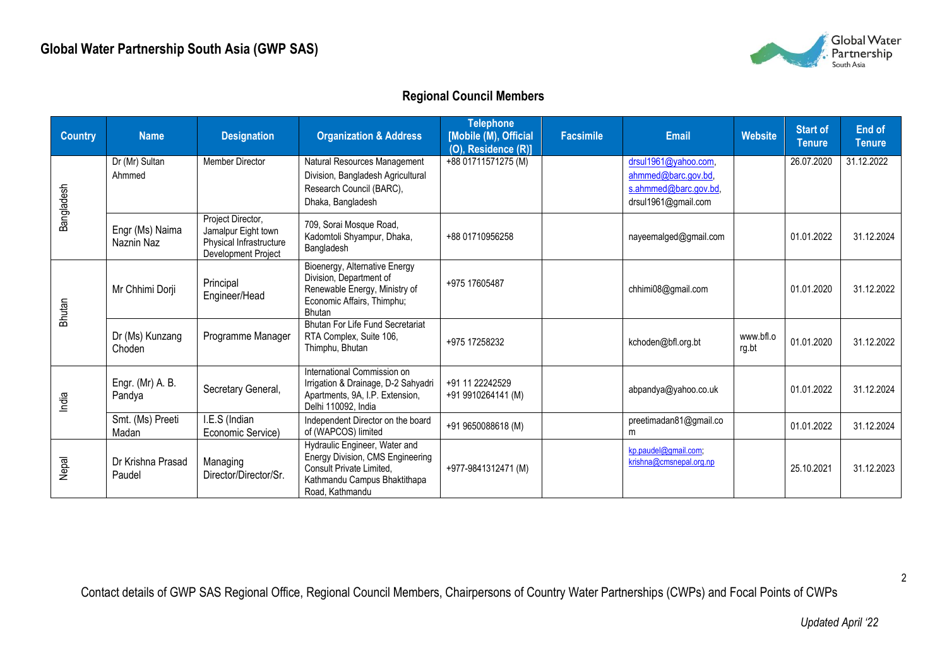

## **Regional Council Members**

| <b>Country</b> | <b>Name</b>                   | <b>Designation</b>                                                                         | <b>Organization &amp; Address</b>                                                                                                                | <b>Telephone</b><br>[Mobile (M), Official<br>(O), Residence (R)] | <b>Facsimile</b> | <b>Email</b>                                                                                | <b>Website</b>     | <b>Start of</b><br><b>Tenure</b> | <b>End of</b><br><b>Tenure</b> |
|----------------|-------------------------------|--------------------------------------------------------------------------------------------|--------------------------------------------------------------------------------------------------------------------------------------------------|------------------------------------------------------------------|------------------|---------------------------------------------------------------------------------------------|--------------------|----------------------------------|--------------------------------|
| Bangladesh     | Dr (Mr) Sultan<br>Ahmmed      | <b>Member Director</b>                                                                     | Natural Resources Management<br>Division, Bangladesh Agricultural<br>Research Council (BARC),<br>Dhaka, Bangladesh                               | +88 01711571275 (M)                                              |                  | drsul1961@yahoo.com,<br>ahmmed@barc.gov.bd,<br>s.ahmmed@barc.gov.bd.<br>drsul1961@gmail.com |                    | 26.07.2020                       | 31.12.2022                     |
|                | Engr (Ms) Naima<br>Naznin Naz | Project Director,<br>Jamalpur Eight town<br>Physical Infrastructure<br>Development Project | 709, Sorai Mosque Road,<br>Kadomtoli Shyampur, Dhaka,<br>Bangladesh                                                                              | +88 01710956258                                                  |                  | nayeemalged@gmail.com                                                                       |                    | 01.01.2022                       | 31.12.2024                     |
| Bhutan         | Mr Chhimi Dorji               | Principal<br>Engineer/Head                                                                 | Bioenergy, Alternative Energy<br>Division, Department of<br>Renewable Energy, Ministry of<br>Economic Affairs, Thimphu;<br><b>Bhutan</b>         | +975 17605487                                                    |                  | chhimi08@gmail.com                                                                          |                    | 01.01.2020                       | 31.12.2022                     |
|                | Dr (Ms) Kunzang<br>Choden     | Programme Manager                                                                          | <b>Bhutan For Life Fund Secretariat</b><br>RTA Complex, Suite 106,<br>Thimphu, Bhutan                                                            | +975 17258232                                                    |                  | kchoden@bfl.org.bt                                                                          | www.bfl.o<br>rg.bt | 01.01.2020                       | 31.12.2022                     |
| India          | Engr. (Mr) A. B.<br>Pandya    | Secretary General,                                                                         | International Commission on<br>Irrigation & Drainage, D-2 Sahyadri<br>Apartments, 9A, I.P. Extension,<br>Delhi 110092, India                     | +91 11 22242529<br>+91 9910264141 (M)                            |                  | abpandya@yahoo.co.uk                                                                        |                    | 01.01.2022                       | 31.12.2024                     |
|                | Smt. (Ms) Preeti<br>Madan     | I.E.S (Indian<br>Economic Service)                                                         | Independent Director on the board<br>of (WAPCOS) limited                                                                                         | +91 9650088618 (M)                                               |                  | preetimadan81@gmail.co<br>m                                                                 |                    | 01.01.2022                       | 31.12.2024                     |
| Nepal          | Dr Krishna Prasad<br>Paudel   | Managing<br>Director/Director/Sr.                                                          | Hydraulic Engineer, Water and<br>Energy Division, CMS Engineering<br>Consult Private Limited,<br>Kathmandu Campus Bhaktithapa<br>Road, Kathmandu | +977-9841312471 (M)                                              |                  | kp.paudel@gmail.com;<br>krishna@cmsnepal.org.np                                             |                    | 25.10.2021                       | 31.12.2023                     |

Contact details of GWP SAS Regional Office, Regional Council Members, Chairpersons of Country Water Partnerships (CWPs) and Focal Points of CWPs

2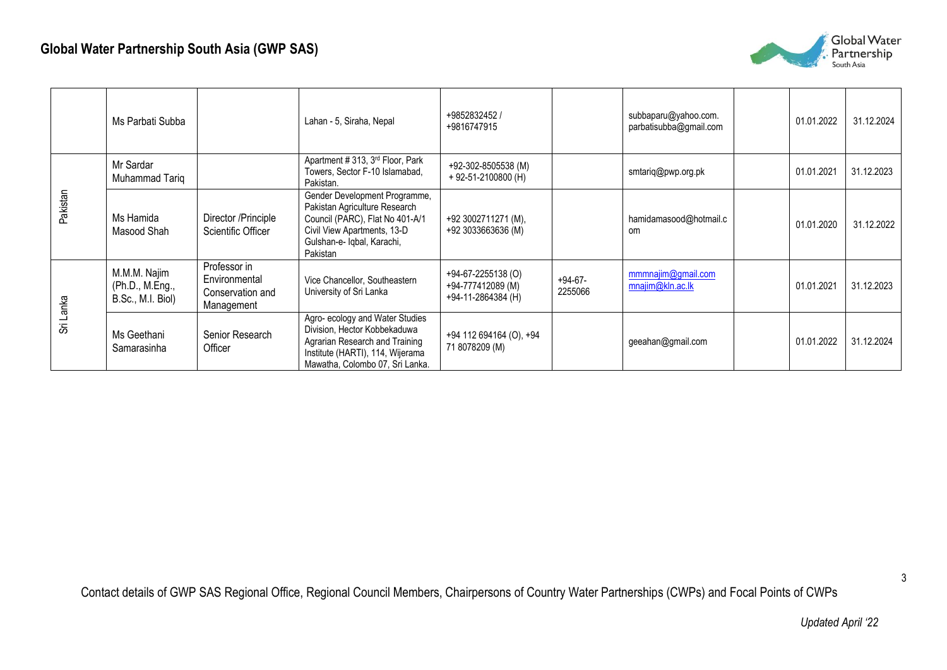

|           | Ms Parbati Subba                                     |                                                                 | Lahan - 5, Siraha, Nepal                                                                                                                                                   | +9852832452 /<br>+9816747915                                  |                    | subbaparu@yahoo.com.<br>parbatisubba@gmail.com | 01.01.2022 | 31.12.2024 |
|-----------|------------------------------------------------------|-----------------------------------------------------------------|----------------------------------------------------------------------------------------------------------------------------------------------------------------------------|---------------------------------------------------------------|--------------------|------------------------------------------------|------------|------------|
|           | Mr Sardar<br>Muhammad Tariq                          |                                                                 | Apartment # 313, 3 <sup>rd</sup> Floor, Park<br>Towers, Sector F-10 Islamabad,<br>Pakistan.                                                                                | +92-302-8505538 (M)<br>$+92-51-2100800$ (H)                   |                    | smtariq@pwp.org.pk                             | 01.01.2021 | 31.12.2023 |
| Pakistan  | Ms Hamida<br>Masood Shah                             | Director /Principle<br>Scientific Officer                       | Gender Development Programme,<br>Pakistan Agriculture Research<br>Council (PARC), Flat No 401-A/1<br>Civil View Apartments, 13-D<br>Gulshan-e- Iqbal, Karachi,<br>Pakistan | +92 3002711271 (M),<br>+92 3033663636 (M)                     |                    | hamidamasood@hotmail.c<br>om                   | 01.01.2020 | 31.12.2022 |
|           | M.M.M. Najim<br>(Ph.D., M.Eng.,<br>B.Sc., M.I. Biol) | Professor in<br>Environmental<br>Conservation and<br>Management | Vice Chancellor, Southeastern<br>University of Sri Lanka                                                                                                                   | +94-67-2255138 (O)<br>+94-777412089 (M)<br>+94-11-2864384 (H) | +94-67-<br>2255066 | mmmnajim@gmail.com<br>mnajim@kln.ac.lk         | 01.01.2021 | 31.12.2023 |
| Sri Lanka | Ms Geethani<br>Samarasinha                           | Senior Research<br>Officer                                      | Agro- ecology and Water Studies<br>Division, Hector Kobbekaduwa<br>Agrarian Research and Training<br>Institute (HARTI), 114, Wijerama<br>Mawatha, Colombo 07, Sri Lanka.   | +94 112 694164 (O), +94<br>71 8078209 (M)                     |                    | geeahan@gmail.com                              | 01.01.2022 | 31.12.2024 |

Contact details of GWP SAS Regional Office, Regional Council Members, Chairpersons of Country Water Partnerships (CWPs) and Focal Points of CWPs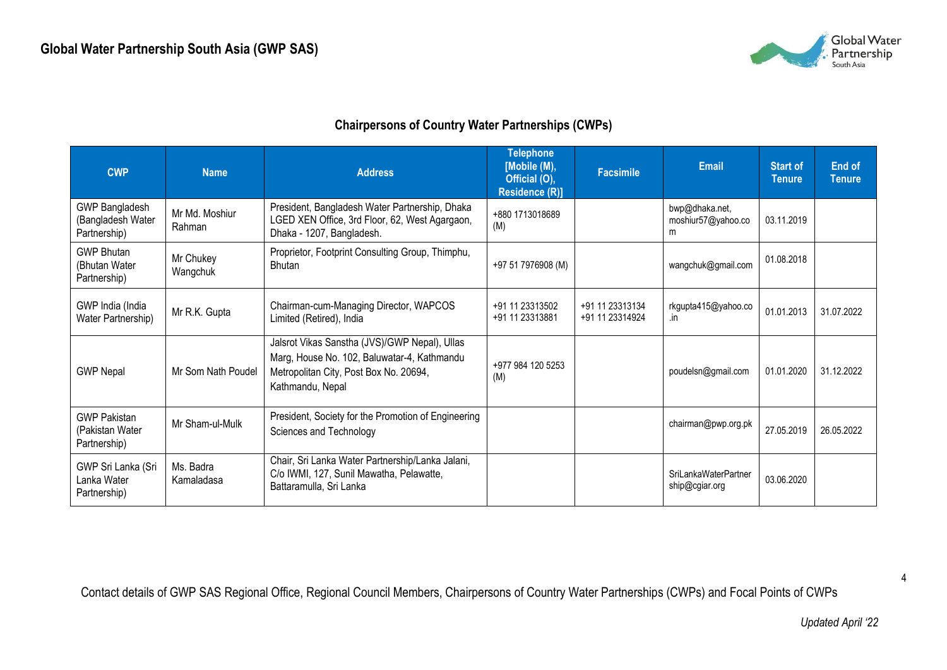

## **Chairpersons of Country Water Partnerships (CWPs)**

| <b>CWP</b>                                                 | <b>Name</b>              | <b>Address</b>                                                                                                                                             | <b>Telephone</b><br>[Mobile (M),<br>Official (O),<br><b>Residence (R)]</b> | <b>Facsimile</b>                   | <b>Email</b>                              | <b>Start of</b><br><b>Tenure</b> | <b>End of</b><br>Tenure |
|------------------------------------------------------------|--------------------------|------------------------------------------------------------------------------------------------------------------------------------------------------------|----------------------------------------------------------------------------|------------------------------------|-------------------------------------------|----------------------------------|-------------------------|
| <b>GWP Bangladesh</b><br>(Bangladesh Water<br>Partnership) | Mr Md. Moshiur<br>Rahman | President, Bangladesh Water Partnership, Dhaka<br>LGED XEN Office, 3rd Floor, 62, West Agargaon,<br>Dhaka - 1207, Bangladesh.                              | +880 1713018689<br>(M)                                                     |                                    | bwp@dhaka.net,<br>moshiur57@yahoo.co<br>m | 03.11.2019                       |                         |
| <b>GWP Bhutan</b><br>(Bhutan Water<br>Partnership)         | Mr Chukey<br>Wangchuk    | Proprietor, Footprint Consulting Group, Thimphu,<br>Bhutan                                                                                                 | +97 51 7976908 (M)                                                         |                                    | wangchuk@gmail.com                        | 01.08.2018                       |                         |
| GWP India (India<br>Water Partnership)                     | Mr R.K. Gupta            | Chairman-cum-Managing Director, WAPCOS<br>Limited (Retired), India                                                                                         | +91 11 23313502<br>+91 11 23313881                                         | +91 11 23313134<br>+91 11 23314924 | rkgupta415@yahoo.co<br>.in                | 01.01.2013                       | 31.07.2022              |
| <b>GWP Nepal</b>                                           | Mr Som Nath Poudel       | Jalsrot Vikas Sanstha (JVS)/GWP Nepal), Ullas<br>Marg, House No. 102, Baluwatar-4, Kathmandu<br>Metropolitan City, Post Box No. 20694,<br>Kathmandu, Nepal | +977 984 120 5253<br>(M)                                                   |                                    | poudelsn@gmail.com                        | 01.01.2020                       | 31.12.2022              |
| <b>GWP Pakistan</b><br>(Pakistan Water<br>Partnership)     | Mr Sham-ul-Mulk          | President, Society for the Promotion of Engineering<br>Sciences and Technology                                                                             |                                                                            |                                    | chairman@pwp.org.pk                       | 27.05.2019                       | 26.05.2022              |
| GWP Sri Lanka (Sri<br>Lanka Water<br>Partnership)          | Ms. Badra<br>Kamaladasa  | Chair, Sri Lanka Water Partnership/Lanka Jalani,<br>C/o IWMI, 127, Sunil Mawatha, Pelawatte,<br>Battaramulla, Sri Lanka                                    |                                                                            |                                    | SriLankaWaterPartner<br>ship@cgiar.org    | 03.06.2020                       |                         |

Contact details of GWP SAS Regional Office, Regional Council Members, Chairpersons of Country Water Partnerships (CWPs) and Focal Points of CWPs

4